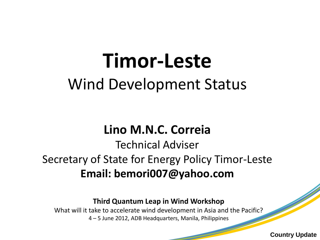# **Timor-Leste**  Wind Development Status

### **Lino M.N.C. Correia**

### Technical Adviser Secretary of State for Energy Policy Timor-Leste **Email: bemori007@yahoo.com**

#### **Third Quantum Leap in Wind Workshop**

What will it take to accelerate wind development in Asia and the Pacific? 4 – 5 June 2012, ADB Headquarters, Manila, Philippines

**Country Update**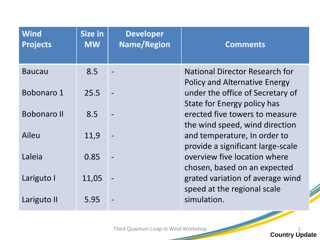| <b>Wind</b><br><b>Projects</b> | <b>Size in</b><br><b>MW</b> | <b>Developer</b><br><b>Name/Region</b> | <b>Comments</b>                                                               |
|--------------------------------|-----------------------------|----------------------------------------|-------------------------------------------------------------------------------|
| <b>Baucau</b>                  | 8.5                         |                                        | <b>National Director Research for</b><br><b>Policy and Alternative Energy</b> |
| Bobonaro 1                     | 25.5                        |                                        | under the office of Secretary of<br><b>State for Energy policy has</b>        |
| <b>Bobonaro II</b>             | 8.5                         |                                        | erected five towers to measure<br>the wind speed, wind direction              |
| Aileu                          | 11,9                        |                                        | and temperature, In order to<br>provide a significant large-scale             |
| Laleia                         | 0.85                        |                                        | overview five location where<br>chosen, based on an expected                  |
| Lariguto I                     | 11,05                       |                                        | grated variation of average wind<br>speed at the regional scale               |
| Lariguto II                    | 5.95                        |                                        | simulation.                                                                   |